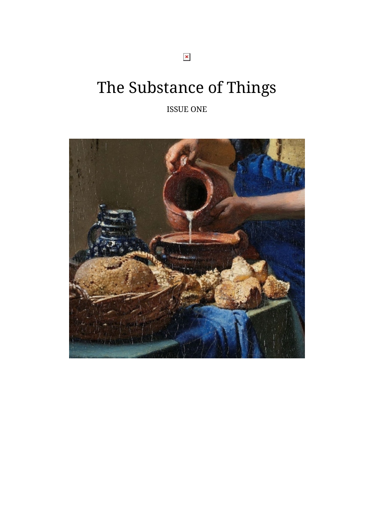The Substance of Things

ISSUE ONE

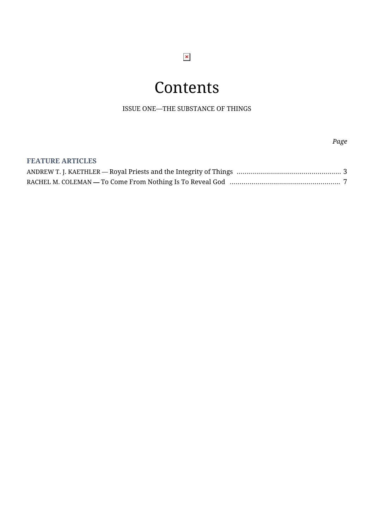### $\pmb{\times}$

### **Contents**

ISSUE ONE—THE SUBSTANCE OF THINGS

#### **FEATURE ARTICLES**

*Page*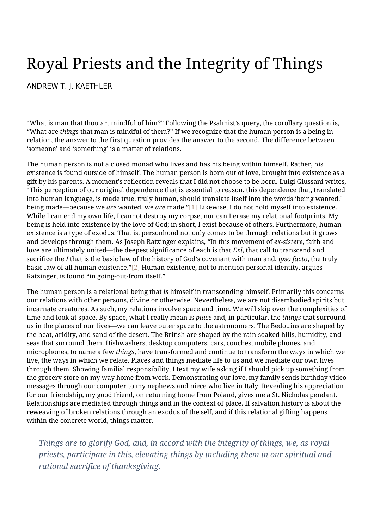# <span id="page-2-0"></span>Royal Priests and the Integrity of Things

#### [ANDREW T. J. KAETHLER](https://humanumreview.com/contributors/andrew-kaethler)

"What is man that thou art mindful of him?" Following the Psalmist's query, the corollary question is, "What are *things* that man is mindful of them?" If we recognize that the human person is a being in relation, the answer to the first question provides the answer to the second. The difference between 'someone' and 'something' is a matter of relations.

The human person is not a closed monad who lives and has his being within himself. Rather, his existence is found outside of himself. The human person is born out of love, brought into existence as a gift by his parents. A moment's reflection reveals that I did not choose to be born. Luigi Giussani writes, "This perception of our original dependence that is essential to reason, this dependence that, translated into human language, is made true, truly human, should translate itself into the words 'being wanted,' being made—because we *are* wanted, we *are* made."[\[1\]](#page--1-0) Likewise, I do not hold myself into existence. While I can end my own life, I cannot destroy my corpse, nor can I erase my relational footprints. My being is held into existence by the love of God; in short, I exist because of others. Furthermore, human existence is a type of exodus. That is, personhood not only comes to be through relations but it grows and develops through them. As Joseph Ratzinger explains, "In this movement of *ex-sistere*, faith and love are ultimately united—the deepest significance of each is that *Exi*, that call to transcend and sacrifice the *I* that is the basic law of the history of God's covenant with man and, *ipso facto*, the truly basic law of all human existence."[\[2\]](#page--1-0) Human existence, not to mention personal identity, argues Ratzinger, is found "in going-out-from itself."

The human person is a relational being that *is* himself in transcending himself. Primarily this concerns our relations with other persons, divine or otherwise. Nevertheless, we are not disembodied spirits but incarnate creatures. As such, my relations involve space and time. We will skip over the complexities of time and look at space. By space, what I really mean is *place* and, in particular, the *things* that surround us in the places of our lives—we can leave outer space to the astronomers. The Bedouins are shaped by the heat, aridity, and sand of the desert. The British are shaped by the rain-soaked hills, humidity, and seas that surround them. Dishwashers, desktop computers, cars, couches, mobile phones, and microphones, to name a few *things*, have transformed and continue to transform the ways in which we live, the ways in which we relate. Places and things mediate life to us and we mediate our own lives through them. Showing familial responsibility, I text my wife asking if I should pick up something from the grocery store on my way home from work. Demonstrating our love, my family sends birthday video messages through our computer to my nephews and niece who live in Italy. Revealing his appreciation for our friendship, my good friend, on returning home from Poland, gives me a St. Nicholas pendant. Relationships are mediated through things and in the context of place. If salvation history is about the reweaving of broken relations through an exodus of the self, and if this relational gifting happens within the concrete world, things matter.

*Things are to glorify God, and, in accord with the integrity of things, we, as royal priests, participate in this, elevating things by including them in our spiritual and rational sacrifice of thanksgiving.*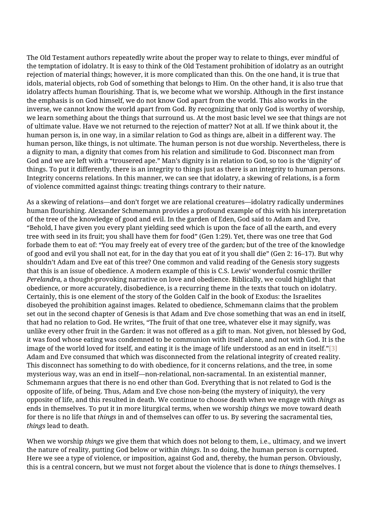The Old Testament authors repeatedly write about the proper way to relate to things, ever mindful of the temptation of idolatry. It is easy to think of the Old Testament prohibition of idolatry as an outright rejection of material things; however, it is more complicated than this. On the one hand, it is true that idols, material objects, rob God of something that belongs to Him. On the other hand, it is also true that idolatry affects human flourishing. That is, we become what we worship. Although in the first instance the emphasis is on God himself, we do not know God apart from the world. This also works in the inverse, we cannot know the world apart from God. By recognizing that only God is worthy of worship, we learn something about the things that surround us. At the most basic level we see that things are not of ultimate value. Have we not returned to the rejection of matter? Not at all. If we think about it, the human person is, in one way, in a similar relation to God as things are, albeit in a different way. The human person, like things, is not ultimate. The human person is not due worship. Nevertheless, there is a dignity to man, a dignity that comes from his relation and similitude to God. Disconnect man from God and we are left with a "trousered ape." Man's dignity is in relation to God, so too is the 'dignity' of things. To put it differently, there is an integrity to things just as there is an integrity to human persons. Integrity concerns relations. In this manner, we can see that idolatry, a skewing of relations, is a form of violence committed against things: treating things contrary to their nature.

As a skewing of relations—and don't forget we are relational creatures—idolatry radically undermines human flourishing. Alexander Schmemann provides a profound example of this with his interpretation of the tree of the knowledge of good and evil. In the garden of Eden, God said to Adam and Eve, "Behold, I have given you every plant yielding seed which is upon the face of all the earth, and every tree with seed in its fruit; you shall have them for food" (Gen 1:29). Yet, there was one tree that God forbade them to eat of: "You may freely eat of every tree of the garden; but of the tree of the knowledge of good and evil you shall not eat, for in the day that you eat of it you shall die" (Gen 2: 16–17). But why shouldn't Adam and Eve eat of this tree? One common and valid reading of the Genesis story suggests that this is an issue of obedience. A modern example of this is C.S. Lewis' wonderful cosmic thriller *Perelandra*, a thought-provoking narrative on love and obedience. Biblically, we could highlight that obedience, or more accurately, disobedience, is a recurring theme in the texts that touch on idolatry. Certainly, this is one element of the story of the Golden Calf in the book of Exodus: the Israelites disobeyed the prohibition against images. Related to obedience, Schmemann claims that the problem set out in the second chapter of Genesis is that Adam and Eve chose something that was an end in itself, that had no relation to God. He writes, "The fruit of that one tree, whatever else it may signify, was unlike every other fruit in the Garden: it was not offered as a gift to man. Not given, not blessed by God, it was food whose eating was condemned to be communion with itself alone, and not with God. It is the image of the world loved for itself, and eating it is the image of life understood as an end in itself."[\[3\]](#page--1-0) Adam and Eve consumed that which was disconnected from the relational integrity of created reality. This disconnect has something to do with obedience, for it concerns relations, and the tree, in some mysterious way, was an end in itself—non-relational, non-sacramental. In an existential manner, Schmemann argues that there is no end other than God. Everything that is not related to God is the opposite of life, of being. Thus, Adam and Eve chose non-being (the mystery of iniquity), the very opposite of life, and this resulted in death. We continue to choose death when we engage with *things* as ends in themselves. To put it in more liturgical terms, when we worship *things* we move toward death for there is no life that *things* in and of themselves can offer to us. By severing the sacramental ties, *things* lead to death.

When we worship *things* we give them that which does not belong to them, i.e., ultimacy, and we invert the nature of reality, putting God below or within *things*. In so doing, the human person is corrupted. Here we see a type of violence, or imposition, against God and, thereby, the human person. Obviously, this is a central concern, but we must not forget about the violence that is done to *things* themselves. I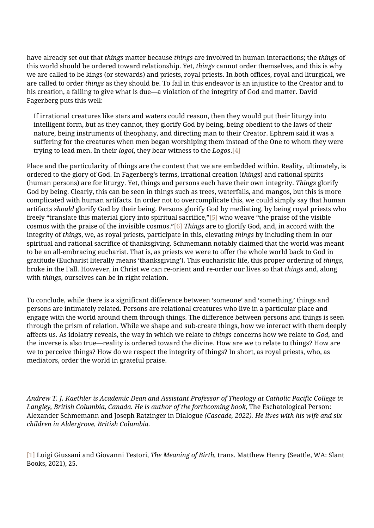have already set out that *things* matter because *things* are involved in human interactions; the *things* of this world should be ordered toward relationship. Yet, *things* cannot order themselves, and this is why we are called to be kings (or stewards) and priests, royal priests. In both offices, royal and liturgical, we are called to order *things* as they should be. To fail in this endeavor is an injustice to the Creator and to his creation, a failing to give what is due—a violation of the integrity of God and matter. David Fagerberg puts this well:

If irrational creatures like stars and waters could reason, then they would put their liturgy into intelligent form, but as they cannot, they glorify God by being, being obedient to the laws of their nature, being instruments of theophany, and directing man to their Creator. Ephrem said it was a suffering for the creatures when men began worshiping them instead of the One to whom they were trying to lead men. In their *logoi*, they bear witness to the *Logos*.[\[4\]](#page--1-0)

Place and the particularity of things are the context that we are embedded within. Reality, ultimately, is ordered to the glory of God. In Fagerberg's terms, irrational creation (*things*) and rational spirits (human persons) are for liturgy. Yet, things and persons each have their own integrity. *Things* glorify God by being. Clearly, this can be seen in things such as trees, waterfalls, and mangos, but this is more complicated with human artifacts. In order not to overcomplicate this, we could simply say that human artifacts *should* glorify God by their being. Persons glorify God by mediating, by being royal priests who freely "translate this material glory into spiritual sacrifice,"[\[5\]](#page--1-0) who weave "the praise of the visible cosmos with the praise of the invisible cosmos.["\[6\]](#page--1-0) *Things* are to glorify God, and, in accord with the integrity of *things*, we, as royal priests, participate in this, elevating *things* by including them in our spiritual and rational sacrifice of thanksgiving. Schmemann notably claimed that the world was meant to be an all-embracing eucharist. That is, as priests we were to offer the whole world back to God in gratitude (Eucharist literally means 'thanksgiving'). This eucharistic life, this proper ordering of *things*, broke in the Fall. However, in Christ we can re-orient and re-order our lives so that *things* and, along with *things*, ourselves can be in right relation.

To conclude, while there is a significant difference between 'someone' and 'something,' things and persons are intimately related. Persons are relational creatures who live in a particular place and engage with the world around them through things. The difference between persons and things is seen through the prism of relation. While we shape and sub-create things, how we interact with them deeply affects us. As idolatry reveals, the way in which we relate to *things* concerns how we relate to *God*, and the inverse is also true—reality is ordered toward the divine. How are we to relate to things? How are we to perceive things? How do we respect the integrity of things? In short, as royal priests, who, as mediators, order the world in grateful praise.

*Andrew T. J. Kaethler is Academic Dean and Assistant Professor of Theology at Catholic Pacific College in* Langley, British Columbia, Canada. He is author of the forthcoming book, The Eschatological Person: Alexander Schmemann and Joseph Ratzinger in Dialogue *(Cascade, 2022). He lives with his wife and six children in Aldergrove, British Columbia.*

[\[1\]](#page--1-0) Luigi Giussani and Giovanni Testori, *The Meaning of Birth,* trans. Matthew Henry (Seattle, WA: Slant Books, 2021), 25.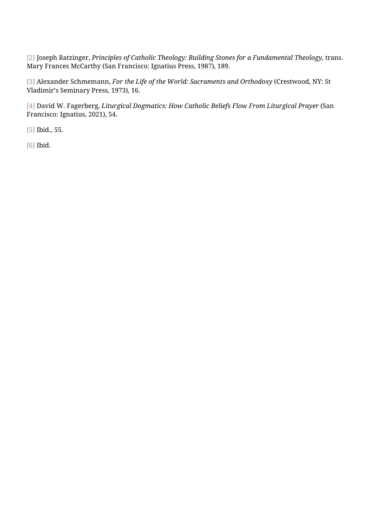[\[2\]](#page--1-0) Joseph Ratzinger, *Principles of Catholic Theology: Building Stones for a Fundamental Theology,* trans. Mary Frances McCarthy (San Francisco: Ignatius Press, 1987), 189.

[\[3\]](#page--1-0) Alexander Schmemann, *For the Life of the World: Sacraments and Orthodoxy* (Crestwood, NY: St Vladimir's Seminary Press, 1973), 16.

[\[4\]](#page--1-0) David W. Fagerberg, *Liturgical Dogmatics: How Catholic Beliefs Flow From Liturgical Prayer* (San Francisco: Ignatius, 2021), 54.

[\[5\]](#page--1-0) Ibid., 55.

[\[6\]](#page--1-0) Ibid.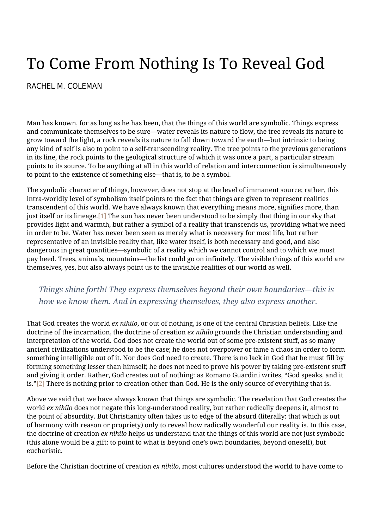# <span id="page-6-0"></span>To Come From Nothing Is To Reveal God

#### [RACHEL M. COLEMAN](https://humanumreview.com/contributors/rachel-coleman)

Man has known, for as long as he has been, that the things of this world are symbolic. Things express and communicate themselves to be sure—water reveals its nature to flow, the tree reveals its nature to grow toward the light, a rock reveals its nature to fall down toward the earth—but intrinsic to being any kind of self is also to point to a self-transcending reality. The tree points to the previous generations in its line, the rock points to the geological structure of which it was once a part, a particular stream points to its source. To be anything at all in this world of relation and interconnection is simultaneously to point to the existence of something else—that is, to be a symbol.

The symbolic character of things, however, does not stop at the level of immanent source; rather, this intra-worldly level of symbolism itself points to the fact that things are given to represent realities transcendent of this world. We have always known that everything means more, signifies more, than just itself or its lineage[.\[1\]](#page--1-0) The sun has never been understood to be simply that thing in our sky that provides light and warmth, but rather a symbol of a reality that transcends us, providing what we need in order to be. Water has never been seen as merely what is necessary for most life, but rather representative of an invisible reality that, like water itself, is both necessary and good, and also dangerous in great quantities—symbolic of a reality which we cannot control and to which we must pay heed. Trees, animals, mountains—the list could go on infinitely. The visible things of this world are themselves, yes, but also always point us to the invisible realities of our world as well.

#### *Things shine forth! They express themselves beyond their own boundaries—this is how we know them. And in expressing themselves, they also express another.*

That God creates the world *ex nihilo*, or out of nothing, is one of the central Christian beliefs. Like the doctrine of the incarnation, the doctrine of creation *ex nihilo* grounds the Christian understanding and interpretation of the world. God does not create the world out of some pre-existent stuff, as so many ancient civilizations understood to be the case; he does not overpower or tame a chaos in order to form something intelligible out of it. Nor does God need to create. There is no lack in God that he must fill by forming something lesser than himself; he does not need to prove his power by taking pre-existent stuff and giving it order. Rather, God creates out of nothing: as Romano Guardini writes, "God speaks, and it is.["\[2\]](#page--1-0) There is nothing prior to creation other than God. He is the only source of everything that is.

Above we said that we have always known that things are symbolic. The revelation that God creates the world *ex nihilo* does not negate this long-understood reality, but rather radically deepens it, almost to the point of absurdity. But Christianity often takes us to edge of the absurd (literally: that which is out of harmony with reason or propriety) only to reveal how radically wonderful our reality is. In this case, the doctrine of creation *ex nihilo* helps us understand that the things of this world are not just symbolic (this alone would be a gift: to point to what is beyond one's own boundaries, beyond oneself), but eucharistic.

Before the Christian doctrine of creation *ex nihilo*, most cultures understood the world to have come to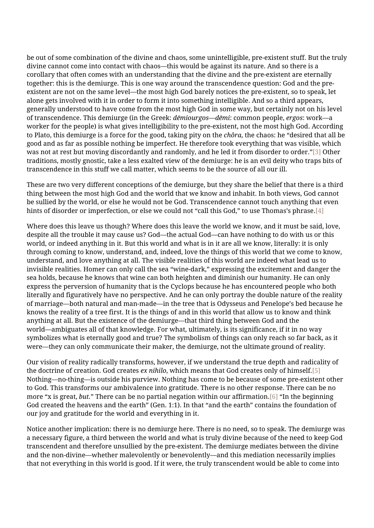be out of some combination of the divine and chaos, some unintelligible, pre-existent stuff. But the truly divine cannot come into contact with chaos—this would be against its nature. And so there is a corollary that often comes with an understanding that the divine and the pre-existent are eternally together: this is the demiurge. This is one way around the transcendence question: God and the preexistent are not on the same level—the most high God barely notices the pre-existent, so to speak, let alone gets involved with it in order to form it into something intelligible. And so a third appears, generally understood to have come from the most high God in some way, but certainly not on his level of transcendence. This demiurge (in the Greek: *dēmiourgos*—*dēmi*: common people, *ergos*: work—a worker for the people) is what gives intelligibility to the pre-existent, not the most high God. According to Plato, this demiurge is a force for the good, taking pity on the *chôra*, the chaos: he "desired that all be good and as far as possible nothing be imperfect. He therefore took everything that was visible, which was not at rest but moving discordantly and randomly, and he led it from disorder to order."[\[3\]](#page--1-0) Other traditions, mostly gnostic, take a less exalted view of the demiurge: he is an evil deity who traps bits of transcendence in this stuff we call matter, which seems to be the source of all our ill.

These are two very different conceptions of the demiurge, but they share the belief that there is a third thing between the most high God and the world that we know and inhabit. In both views, God cannot be sullied by the world, or else he would not be God. Transcendence cannot touch anything that even hints of disorder or imperfection, or else we could not "call this God," to use Thomas's phrase[.\[4\]](#page--1-0)

Where does this leave us though? Where does this leave the world we know, and it must be said, love, despite all the trouble it may cause us? God—the actual God—can have nothing to do with us or this world, or indeed anything in it. But this world and what is in it are all we know, literally: it is only through coming to know, understand, and, indeed, love the things of this world that we come to know, understand, and love anything at all. The visible realities of this world are indeed what lead us to invisible realities. Homer can only call the sea "wine-dark," expressing the excitement and danger the sea holds, because he knows that wine can both heighten and diminish our humanity. He can only express the perversion of humanity that is the Cyclops because he has encountered people who both literally and figuratively have no perspective. And he can only portray the double nature of the reality of marriage—both natural and man-made—in the tree that is Odysseus and Penelope's bed because he knows the reality of a tree first. It is the things of and in this world that allow us to know and think anything at all. But the existence of the demiurge—that third thing between God and the world—ambiguates all of that knowledge. For what, ultimately, is its significance, if it in no way symbolizes what is eternally good and true? The symbolism of things can only reach so far back, as it were—they can only communicate their maker, the demiurge, not the ultimate ground of reality.

Our vision of reality radically transforms, however, if we understand the true depth and radicality of the doctrine of creation. God creates *ex nihilo*, which means that God creates only of himself[.\[5\]](#page--1-0) Nothing—no-thing—is outside his purview. Nothing has come to be because of some pre-existent other to God. This transforms our ambivalence into gratitude. There is no other response. There can be no more "x is great, *but.*" There can be no partial negation within our affirmation[.\[6\]](#page--1-0) "In the beginning God created the heavens and the earth" (Gen. 1:1). In that "and the earth" contains the foundation of our joy and gratitude for the world and everything in it.

Notice another implication: there is no demiurge here. There is no need, so to speak. The demiurge was a necessary figure, a third between the world and what is truly divine because of the need to keep God transcendent and therefore unsullied by the pre-existent. The demiurge mediates between the divine and the non-divine—whether malevolently or benevolently—and this mediation necessarily implies that not everything in this world is good. If it were, the truly transcendent would be able to come into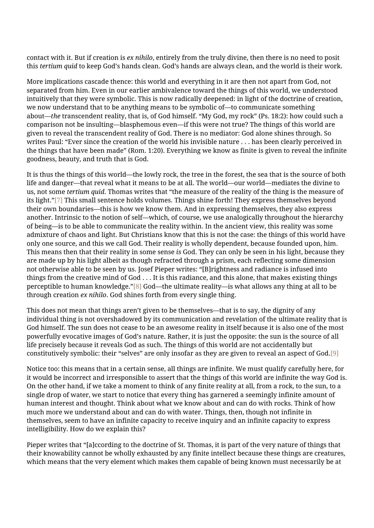contact with it. But if creation is *ex nihilo*, entirely from the truly divine, then there is no need to posit this *tertium quid* to keep God's hands clean. God's hands are always clean, and the world is their work.

More implications cascade thence: this world and everything in it are then not apart from God, not separated from him. Even in our earlier ambivalence toward the things of this world, we understood intuitively that they were symbolic. This is now radically deepened: in light of the doctrine of creation, we now understand that to be anything means to be symbolic of—to communicate something about—*the* transcendent reality, that is, of God himself. "My God, my rock" (Ps. 18:2): how could such a comparison not be insulting—blasphemous even—if this were not true? The things of this world are given to reveal the transcendent reality of God. There is no mediator: God alone shines through. So writes Paul: "Ever since the creation of the world his invisible nature . . . has been clearly perceived in the things that have been made" (Rom. 1:20). Everything we know as finite is given to reveal the infinite goodness, beauty, and truth that is God.

It is thus the things of this world—the lowly rock, the tree in the forest, the sea that is the source of both life and danger—that reveal what it means to be at all. The world—our world—mediates the divine to us, not some *tertium quid*. Thomas writes that "the measure of the reality of the thing is the measure of its light."[\[7\]](#page--1-0) This small sentence holds volumes. Things shine forth! They express themselves beyond their own boundaries—this is how we know them. And in expressing themselves, they also express another. Intrinsic to the notion of self—which, of course, we use analogically throughout the hierarchy of being—is to be able to communicate the reality within. In the ancient view, this reality was some admixture of chaos and light. But Christians know that this is not the case: the things of this world have only one source, and this we call God. Their reality is wholly dependent, because founded upon, him. This means then that their reality in some sense *is* God. They can only be seen in his light, because they are made up by his light albeit as though refracted through a prism, each reflecting some dimension not otherwise able to be seen by us. Josef Pieper writes: "[B]rightness and radiance is infused into things from the creative mind of God . . . It is this radiance, and this alone, that makes existing things perceptible to human knowledge.["\[8\]](#page--1-0) God—the ultimate reality—is what allows any thing at all to be through creation *ex nihilo*. God shines forth from every single thing.

This does not mean that things aren't given to be themselves—that is to say, the dignity of any individual thing is not overshadowed by its communication and revelation of the ultimate reality that is God himself. The sun does not cease to be an awesome reality in itself because it is also one of the most powerfully evocative images of God's nature. Rather, it is just the opposite: the sun is the source of all life precisely because it reveals God as such. The things of this world are not accidentally but constitutively symbolic: their "selves" are only insofar as they are given to reveal an aspect of God[.\[9\]](#page--1-0)

Notice too: this means that in a certain sense, all things are infinite. We must qualify carefully here, for it would be incorrect and irresponsible to assert that the things of this world are infinite the way God is. On the other hand, if we take a moment to think of any finite reality at all, from a rock, to the sun, to a single drop of water, we start to notice that every thing has garnered a seemingly infinite amount of human interest and thought. Think about what we know about and can do with rocks. Think of how much more we understand about and can do with water. Things, then, though not infinite in themselves, seem to have an infinite capacity to receive inquiry and an infinite capacity to express intelligibility. How do we explain this?

Pieper writes that "[a]ccording to the doctrine of St. Thomas, it is part of the very nature of things that their knowability cannot be wholly exhausted by any finite intellect because these things are creatures, which means that the very element which makes them capable of being known must necessarily be at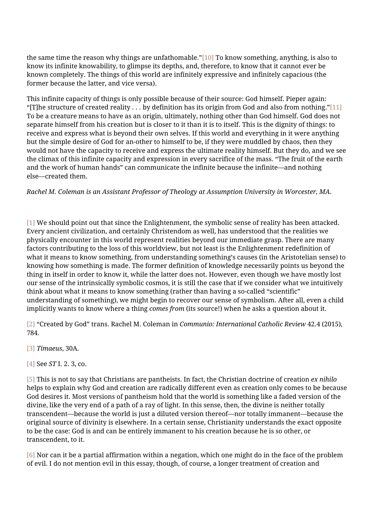the same time the reason why things are unfathomable."[\[10\]](#page--1-0) To know something, anything, is also to know its infinite knowability, to glimpse its depths, and, therefore, to know that it cannot ever be known completely. The things of this world are infinitely expressive and infinitely capacious (the former because the latter, and vice versa).

This infinite capacity of things is only possible because of their source: God himself. Pieper again: "[T]he structure of created reality . . . by definition has its origin from God and also from nothing.["\[11\]](#page--1-0) To be a creature means to have as an origin, ultimately, nothing other than God himself. God does not separate himself from his creation but is closer to it than it is to itself. This is the dignity of things: to receive and express what is beyond their own selves. If this world and everything in it were anything but the simple desire of God for an-other to himself to be, if they were muddled by chaos, then they would not have the capacity to receive and express the ultimate reality himself. But they do, and we see the climax of this infinite capacity and expression in every sacrifice of the mass. "The fruit of the earth and the work of human hands" can communicate the infinite because the infinite—and nothing else—created them.

*Rachel M. Coleman is an Assistant Professor of Theology at Assumption University in Worcester, MA.*

[\[1\]](#page--1-0) We should point out that since the Enlightenment, the symbolic sense of reality has been attacked. Every ancient civilization, and certainly Christendom as well, has understood that the realities we physically encounter in this world represent realities beyond our immediate grasp. There are many factors contributing to the loss of this worldview, but not least is the Enlightenment redefinition of what it means to know something, from understanding something's causes (in the Aristotelian sense) to knowing how something is made. The former definition of knowledge necessarily points us beyond the thing in itself in order to know it, while the latter does not. However, even though we have mostly lost our sense of the intrinsically symbolic cosmos, it is still the case that if we consider what we intuitively think about what it means to know something (rather than having a so-called "scientific" understanding of something), we might begin to recover our sense of symbolism. After all, even a child implicitly wants to know where a thing *comes from* (its source!) when he asks a question about it.

[\[2\]](#page--1-0) "Created by God" trans. Rachel M. Coleman in *Communio: International Catholic Review* 42.4 (2015), 784.

[\[3\]](#page--1-0) *Timaeus*, 30A.

[\[4\]](#page--1-0) See *ST* I. 2. 3, co.

[\[5\]](#page--1-0) This is not to say that Christians are pantheists. In fact, the Christian doctrine of creation *ex nihilo* helps to explain why God and creation are radically different even as creation only comes to be because God desires it. Most versions of pantheism hold that the world is something like a faded version of the divine, like the very end of a path of a ray of light. In this sense, then, the divine is neither totally transcendent—because the world is just a diluted version thereof—nor totally immanent—because the original source of divinity is elsewhere. In a certain sense, Christianity understands the exact opposite to be the case: God is and can be entirely immanent to his creation because he is so other, or transcendent, to it.

[\[6\]](#page--1-0) Nor can it be a partial affirmation within a negation, which one might do in the face of the problem of evil. I do not mention evil in this essay, though, of course, a longer treatment of creation and